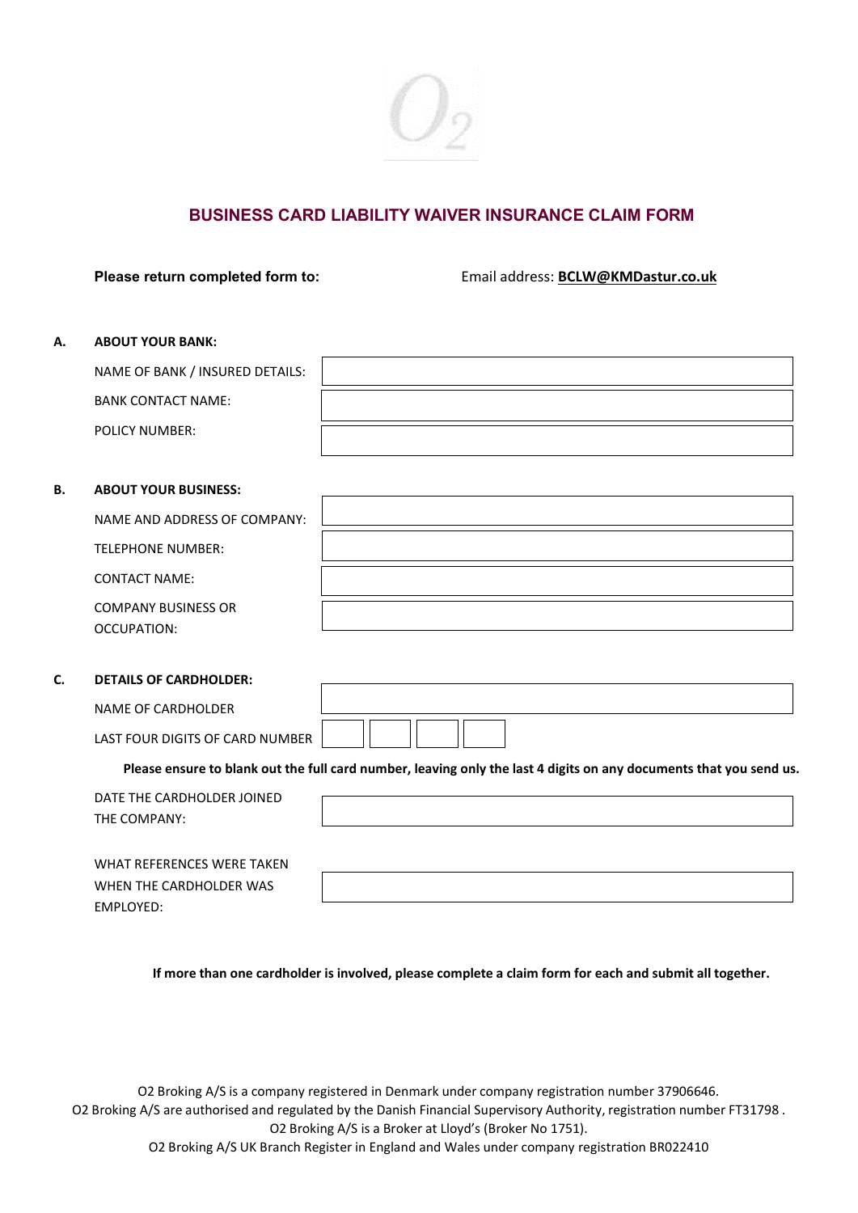

# **BUSINESS CARD LIABILITY WAIVER INSURANCE CLAIM FORM**

**Please return completed form to:** Email address: **[BCLW@KMDastur.co.uk](mailto:BCLW@KMDastur.co.uk)**

### **A. ABOUT YOUR BANK:**

| NAME OF BANK / INSURED DETAILS: |  |
|---------------------------------|--|
| <b>BANK CONTACT NAME:</b>       |  |
| <b>POLICY NUMBER:</b>           |  |

#### **B. ABOUT YOUR BUSINESS:**

| NAME AND ADDRESS OF COMPANY: |  |
|------------------------------|--|
| TELEPHONE NUMBER:            |  |
| <b>CONTACT NAME:</b>         |  |
| <b>COMPANY BUSINESS OR</b>   |  |
| OCCUPATION:                  |  |

#### **C. DETAILS OF CARDHOLDER:**

EMPLOYED:

NAME OF CARDHOLDER

LAST FOUR DIGITS OF CARD NUMBER

**Please ensure to blank out the full card number, leaving only the last 4 digits on any documents that you send us.**

| DATE THE CARDHOLDER JOINED<br>THE COMPANY:            |  |
|-------------------------------------------------------|--|
| WHAT REFERENCES WERE TAKEN<br>WHEN THE CARDHOLDER WAS |  |

**If more than one cardholder is involved, please complete a claim form for each and submit all together.**

O2 Broking A/S is a company registered in Denmark under company registration number 37906646. O2 Broking A/S are authorised and regulated by the Danish Financial Supervisory Authority, registration number FT31798 . O2 Broking A/S is a Broker at Lloyd's (Broker No 1751).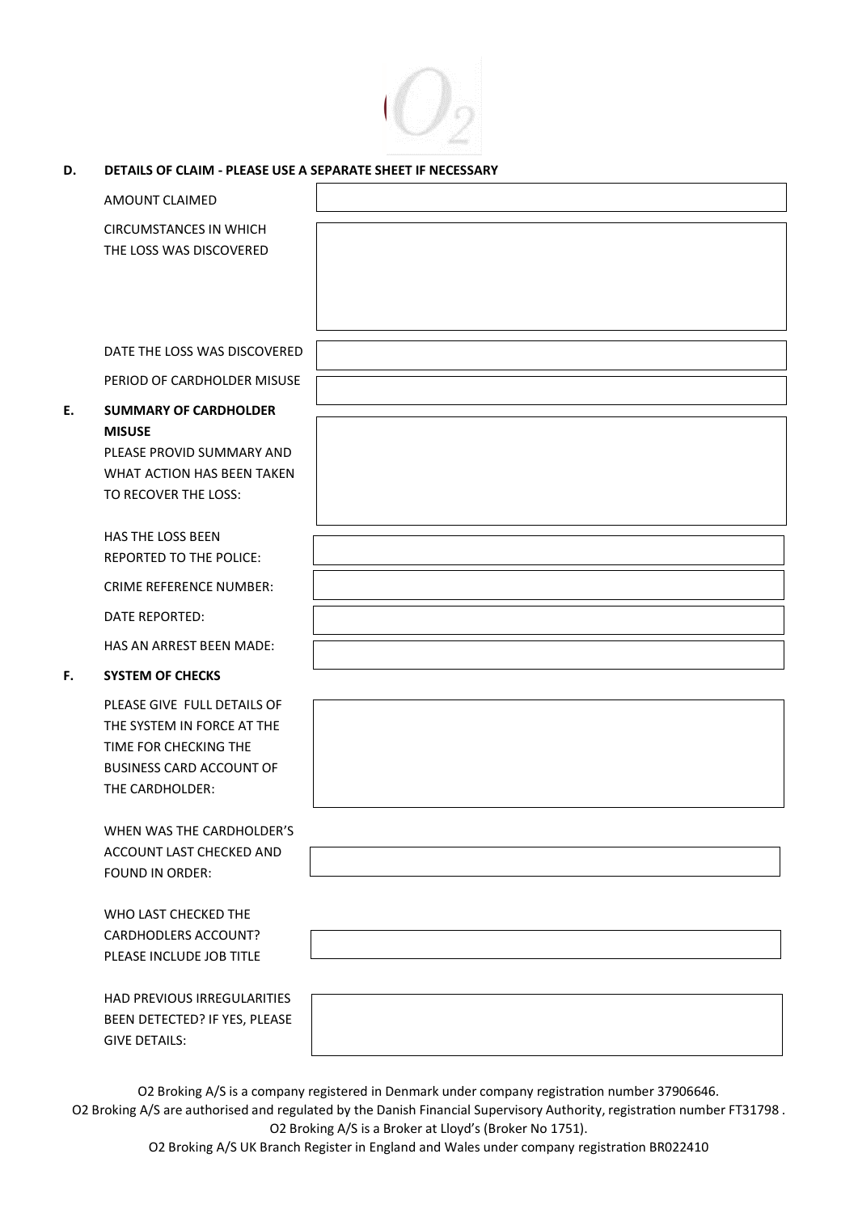

| D. | DETAILS OF CLAIM - PLEASE USE A SEPARATE SHEET IF NECESSARY |  |
|----|-------------------------------------------------------------|--|
|    |                                                             |  |

|    | <b>AMOUNT CLAIMED</b>                              |  |
|----|----------------------------------------------------|--|
|    | <b>CIRCUMSTANCES IN WHICH</b>                      |  |
|    | THE LOSS WAS DISCOVERED                            |  |
|    |                                                    |  |
|    |                                                    |  |
|    |                                                    |  |
|    | DATE THE LOSS WAS DISCOVERED                       |  |
|    | PERIOD OF CARDHOLDER MISUSE                        |  |
| E. | <b>SUMMARY OF CARDHOLDER</b>                       |  |
|    | <b>MISUSE</b>                                      |  |
|    | PLEASE PROVID SUMMARY AND                          |  |
|    | WHAT ACTION HAS BEEN TAKEN<br>TO RECOVER THE LOSS: |  |
|    |                                                    |  |
|    | <b>HAS THE LOSS BEEN</b>                           |  |
|    | REPORTED TO THE POLICE:                            |  |
|    | <b>CRIME REFERENCE NUMBER:</b>                     |  |
|    | DATE REPORTED:                                     |  |
|    | HAS AN ARREST BEEN MADE:                           |  |
| F. | <b>SYSTEM OF CHECKS</b>                            |  |
|    | PLEASE GIVE FULL DETAILS OF                        |  |
|    | THE SYSTEM IN FORCE AT THE                         |  |
|    | TIME FOR CHECKING THE                              |  |
|    | <b>BUSINESS CARD ACCOUNT OF</b><br>THE CARDHOLDER: |  |
|    |                                                    |  |
|    | WHEN WAS THE CARDHOLDER'S                          |  |
|    | ACCOUNT LAST CHECKED AND                           |  |
|    | <b>FOUND IN ORDER:</b>                             |  |
|    | WHO LAST CHECKED THE                               |  |
|    | CARDHODLERS ACCOUNT?                               |  |
|    | PLEASE INCLUDE JOB TITLE                           |  |

HAD PREVIOUS IRREGULARITIES BEEN DETECTED? IF YES, PLEASE GIVE DETAILS:

O2 Broking A/S is a company registered in Denmark under company registration number 37906646.

O2 Broking A/S are authorised and regulated by the Danish Financial Supervisory Authority, registration number FT31798 . O2 Broking A/S is a Broker at Lloyd's (Broker No 1751).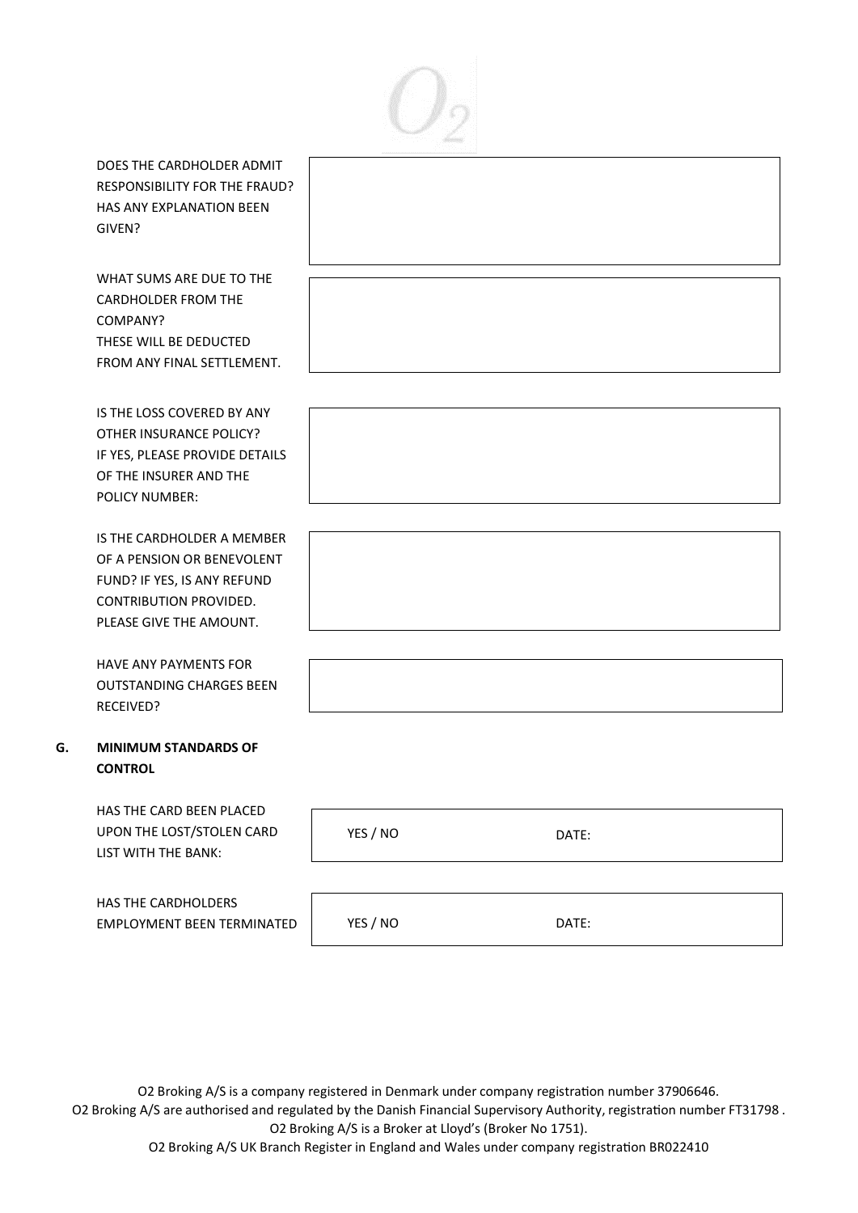

DOES THE CARDHOLDER ADMIT RESPONSIBILITY FOR THE FRAUD? HAS ANY EXPLANATION BEEN GIVEN?

WHAT SUMS ARE DUE TO THE CARDHOLDER FROM THE COMPANY? THESE WILL BE DEDUCTED FROM ANY FINAL SETTLEMENT.

IS THE LOSS COVERED BY ANY OTHER INSURANCE POLICY? IF YES, PLEASE PROVIDE DETAILS OF THE INSURER AND THE POLICY NUMBER:

IS THE CARDHOLDER A MEMBER OF A PENSION OR BENEVOLENT FUND? IF YES, IS ANY REFUND CONTRIBUTION PROVIDED. PLEASE GIVE THE AMOUNT.

HAVE ANY PAYMENTS FOR OUTSTANDING CHARGES BEEN RECEIVED?

# **G. MINIMUM STANDARDS OF CONTROL**

HAS THE CARD BEEN PLACED UPON THE LOST/STOLEN CARD LIST WITH THE BANK:

HAS THE CARDHOLDERS EMPLOYMENT BEEN TERMINATED

| ,我们也不会有什么?""我们的人,我们也不会有什么?""我们的人,我们也不会有什么?""我们的人,我们也不会有什么?""我们的人,我们也不会有什么?""我们的人 |  |  |
|----------------------------------------------------------------------------------|--|--|
|                                                                                  |  |  |

| YES / NO | DATE: |
|----------|-------|
|          |       |
|          |       |

O2 Broking A/S is a company registered in Denmark under company registration number 37906646. O2 Broking A/S are authorised and regulated by the Danish Financial Supervisory Authority, registration number FT31798 . O2 Broking A/S is a Broker at Lloyd's (Broker No 1751).

YES / NO DATE: